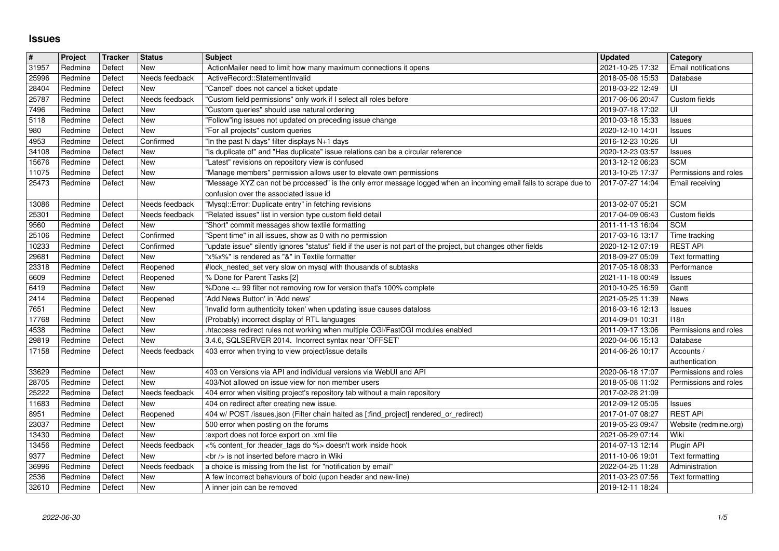## **Issues**

| $\overline{\#}$ | Project            | Tracker          | <b>Status</b>                    | Subject                                                                                                                                                                                 | <b>Updated</b>                                        | Category                                 |
|-----------------|--------------------|------------------|----------------------------------|-----------------------------------------------------------------------------------------------------------------------------------------------------------------------------------------|-------------------------------------------------------|------------------------------------------|
| 31957<br>25996  | Redmine<br>Redmine | Defect<br>Defect | <b>New</b><br>Needs feedback     | ActionMailer need to limit how many maximum connections it opens<br>ActiveRecord::StatementInvalid                                                                                      | 2021-10-25 17:32<br>2018-05-08 15:53                  | Email notifications<br>Database          |
| 28404           | Redmine            | Defect           | <b>New</b>                       | "Cancel" does not cancel a ticket update                                                                                                                                                | 2018-03-22 12:49                                      | UI                                       |
| 25787<br>7496   | Redmine<br>Redmine | Defect<br>Defect | Needs feedback<br>New            | "Custom field permissions" only work if I select all roles before<br>"Custom queries" should use natural ordering                                                                       | 2017-06-06 20:47<br>2019-07-18 17:02                  | Custom fields<br>UI                      |
| 5118            | Redmine            | Defect           | New                              | "Follow"ing issues not updated on preceding issue change                                                                                                                                | 2010-03-18 15:33                                      | Issues                                   |
| 980             | Redmine<br>Redmine | Defect<br>Defect | <b>New</b><br>Confirmed          | "For all projects" custom queries<br>"In the past N days" filter displays N+1 days                                                                                                      | 2020-12-10 14:01<br>2016-12-23 10:26                  | <b>Issues</b><br>UI                      |
| 4953<br>34108   | Redmine            | Defect           | <b>New</b>                       | "Is duplicate of" and "Has duplicate" issue relations can be a circular reference                                                                                                       | 2020-12-23 03:57                                      | <b>Issues</b>                            |
| 15676           | Redmine            | Defect           | <b>New</b>                       | "Latest" revisions on repository view is confused                                                                                                                                       | 2013-12-12 06:23                                      | <b>SCM</b>                               |
| 11075<br>25473  | Redmine<br>Redmine | Defect<br>Defect | <b>New</b><br>New                | "Manage members" permission allows user to elevate own permissions<br>"Message XYZ can not be processed" is the only error message logged when an incoming email fails to scrape due to | 2013-10-25 17:37<br>2017-07-27 14:04                  | Permissions and roles<br>Email receiving |
|                 |                    |                  |                                  | confusion over the associated issue id                                                                                                                                                  |                                                       |                                          |
| 13086<br>25301  | Redmine<br>Redmine | Defect<br>Defect | Needs feedback<br>Needs feedback | "Mysql::Error: Duplicate entry" in fetching revisions<br>"Related issues" list in version type custom field detail                                                                      | 2013-02-07 05:21<br>2017-04-09 06:43                  | <b>SCM</b><br>Custom fields              |
| 9560            | Redmine            | Defect           | New                              | "Short" commit messages show textile formatting                                                                                                                                         | 2011-11-13 16:04                                      | <b>SCM</b>                               |
| 25106           | Redmine            | Defect           | Confirmed                        | 'Spent time" in all issues, show as 0 with no permission                                                                                                                                | 2017-03-16 13:17                                      | Time tracking                            |
| 10233<br>29681  | Redmine<br>Redmine | Defect<br>Defect | Confirmed<br>New                 | "update issue" silently ignores "status" field if the user is not part of the project, but changes other fields<br>"x%x%" is rendered as "&" in Textile formatter                       | 2020-12-12 07:19<br>2018-09-27 05:09                  | <b>REST API</b><br>Text formatting       |
| 23318           | Redmine            | Defect           | Reopened                         | #lock_nested_set very slow on mysql with thousands of subtasks                                                                                                                          | 2017-05-18 08:33                                      | Performance                              |
| 6609<br>6419    | Redmine<br>Redmine | Defect<br>Defect | Reopened<br><b>New</b>           | % Done for Parent Tasks [2]<br>%Done <= 99 filter not removing row for version that's 100% complete                                                                                     | 2021-11-18 00:49<br>2010-10-25 16:59                  | Issues<br>Gantt                          |
| 2414            | Redmine            | Defect           | Reopened                         | 'Add News Button' in 'Add news'                                                                                                                                                         | 2021-05-25 11:39                                      | News                                     |
| 7651<br>17768   | Redmine<br>Redmine | Defect<br>Defect | <b>New</b><br><b>New</b>         | 'Invalid form authenticity token' when updating issue causes dataloss<br>(Probably) incorrect display of RTL languages                                                                  | 2016-03-16 12:13<br>2014-09-01 10:31                  | <b>Issues</b><br>118n                    |
| 4538            | Redmine            | Defect           | New                              | htaccess redirect rules not working when multiple CGI/FastCGI modules enabled                                                                                                           | 2011-09-17 13:06                                      | Permissions and roles                    |
| 29819           | Redmine            | Defect           | <b>New</b>                       | 3.4.6, SQLSERVER 2014. Incorrect syntax near 'OFFSET                                                                                                                                    | 2020-04-06 15:13                                      | Database                                 |
| 17158           | Redmine            | Defect           | Needs feedback                   | 403 error when trying to view project/issue details                                                                                                                                     | 2014-06-26 10:17                                      | Accounts /<br>authentication             |
| 33629           | Redmine            | Defect           | New                              | 403 on Versions via API and individual versions via WebUI and API                                                                                                                       | 2020-06-18 17:07                                      | Permissions and roles                    |
| 28705<br>25222  | Redmine<br>Redmine | Defect<br>Defect | <b>New</b><br>Needs feedback     | 403/Not allowed on issue view for non member users<br>404 error when visiting project's repository tab without a main repository                                                        | 2018-05-08 11:02<br>2017-02-28 21:09                  | Permissions and roles                    |
| 11683           | Redmine            | Defect           | <b>New</b>                       | 404 on redirect after creating new issue.                                                                                                                                               | 2012-09-12 05:05                                      | Issues                                   |
| 8951            | Redmine            | Defect           | Reopened                         | 404 w/ POST /issues.json (Filter chain halted as [:find_project] rendered_or_redirect)                                                                                                  | 2017-01-07 08:27                                      | <b>REST API</b>                          |
| 23037<br>13430  | Redmine<br>Redmine | Defect<br>Defect | New<br><b>New</b>                | 500 error when posting on the forums<br>:export does not force export on .xml file                                                                                                      | 2019-05-23 09:47<br>2021-06-29 07:14                  | Website (redmine.org)<br>Wiki            |
| 13456           | Redmine            | Defect           | Needs feedback                   | <% content_for :header_tags do %> doesn't work inside hook                                                                                                                              | 2014-07-13 12:14                                      | Plugin API                               |
| 9377<br>36996   | Redmine<br>Redmine | Defect<br>Defect | New<br>Needs feedback            | <br>> is not inserted before macro in Wiki<br>a choice is missing from the list for "notification by email"                                                                             | 2011-10-06 19:01<br>2022-04-25 11:28   Administration | Text formatting                          |
| 2536<br>32610   | Redmine            | Defect<br>Defect | New                              | A few incorrect behaviours of bold (upon header and new-line)<br>A inner join can be removed                                                                                            | 2011-03-23 07:56<br>2019-12-11 18:24                  | Text formatting                          |
|                 |                    |                  |                                  |                                                                                                                                                                                         |                                                       |                                          |
|                 |                    |                  |                                  |                                                                                                                                                                                         |                                                       |                                          |
|                 |                    |                  |                                  |                                                                                                                                                                                         |                                                       |                                          |
|                 |                    |                  |                                  |                                                                                                                                                                                         |                                                       |                                          |
|                 |                    |                  |                                  |                                                                                                                                                                                         |                                                       |                                          |
|                 |                    |                  |                                  |                                                                                                                                                                                         |                                                       |                                          |
|                 |                    |                  |                                  |                                                                                                                                                                                         |                                                       |                                          |
|                 |                    |                  |                                  |                                                                                                                                                                                         |                                                       |                                          |
|                 |                    |                  |                                  |                                                                                                                                                                                         |                                                       |                                          |
|                 |                    |                  |                                  |                                                                                                                                                                                         |                                                       |                                          |
|                 |                    |                  |                                  |                                                                                                                                                                                         |                                                       |                                          |
|                 |                    |                  |                                  |                                                                                                                                                                                         |                                                       |                                          |
|                 |                    |                  |                                  |                                                                                                                                                                                         |                                                       |                                          |
|                 |                    |                  |                                  |                                                                                                                                                                                         |                                                       |                                          |
|                 |                    |                  |                                  |                                                                                                                                                                                         |                                                       |                                          |
|                 |                    |                  |                                  |                                                                                                                                                                                         |                                                       |                                          |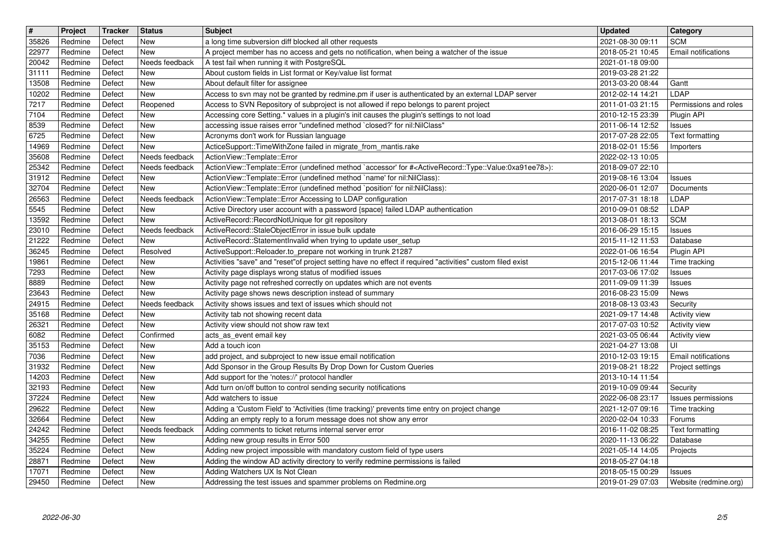| $\overline{\mathbf{t}}$<br>35826 | Project<br>Redmine | Tracker<br>Defect | <b>Status</b><br>New         | <b>Subject</b><br>a long time subversion diff blocked all other requests                                                                                                                                                 | <b>Updated</b><br>2021-08-30 09:11   | Category<br><b>SCM</b>                  |
|----------------------------------|--------------------|-------------------|------------------------------|--------------------------------------------------------------------------------------------------------------------------------------------------------------------------------------------------------------------------|--------------------------------------|-----------------------------------------|
| 22977                            | Redmine            | Defect            | <b>New</b>                   | A project member has no access and gets no notification, when being a watcher of the issue                                                                                                                               | 2018-05-21 10:45                     | Email notifications                     |
| 20042                            | Redmine            | Defect            | Needs feedback<br><b>New</b> | A test fail when running it with PostgreSQL                                                                                                                                                                              | 2021-01-18 09:00<br>2019-03-28 21:22 |                                         |
| 31111<br>13508                   | Redmine<br>Redmine | Defect<br>Defect  | New                          | About custom fields in List format or Key/value list format<br>About default filter for assignee                                                                                                                         | 2013-03-20 08:44                     | Gantt                                   |
| 10202                            | Redmine            | Defect            | <b>New</b>                   | Access to svn may not be granted by redmine.pm if user is authenticated by an external LDAP server                                                                                                                       | 2012-02-14 14:21                     | LDAP                                    |
| 7217<br>7104                     | Redmine<br>Redmine | Defect<br>Defect  | Reopened<br>New              | Access to SVN Repository of subproject is not allowed if repo belongs to parent project<br>Accessing core Setting.* values in a plugin's init causes the plugin's settings to not load                                   | 2011-01-03 21:15<br>2010-12-15 23:39 | Permissions and roles<br>Plugin API     |
| 8539                             | Redmine            | Defect            | New                          | accessing issue raises error "undefined method `closed?' for nil:NilClass"                                                                                                                                               | 2011-06-14 12:52                     | Issues                                  |
| 6725<br>14969                    | Redmine<br>Redmine | Defect<br>Defect  | New<br><b>New</b>            | Acronyms don't work for Russian language<br>ActiceSupport::TimeWithZone failed in migrate_from_mantis.rake                                                                                                               | 2017-07-28 22:05<br>2018-02-01 15:56 | Text formatting<br>Importers            |
| 35608                            | Redmine            | Defect            | Needs feedback               | ActionView::Template::Error                                                                                                                                                                                              | 2022-02-13 10:05                     |                                         |
| 25342<br>31912                   | Redmine<br>Redmine | Defect<br>Defect  | Needs feedback<br>New        | ActionView::Template::Error (undefined method `accessor' for # <activerecord::type::value:0xa91ee78>):<br/>ActionView::Template::Error (undefined method `name' for nil:NilClass):</activerecord::type::value:0xa91ee78> | 2018-09-07 22:10<br>2019-08-16 13:04 | Issues                                  |
| 32704                            | Redmine            | Defect            | <b>New</b>                   | ActionView::Template::Error (undefined method `position' for nil:NilClass):                                                                                                                                              | 2020-06-01 12:07                     | Documents                               |
| 26563<br>5545                    | Redmine<br>Redmine | Defect<br>Defect  | Needs feedback<br>New        | ActionView::Template::Error Accessing to LDAP configuration<br>Active Directory user account with a password {space} failed LDAP authentication                                                                          | 2017-07-31 18:18<br>2010-09-01 08:52 | LDAP<br>LDAP                            |
| 13592                            | Redmine            | Defect            | <b>New</b>                   | ActiveRecord::RecordNotUnique for git repository                                                                                                                                                                         | 2013-08-01 18:13                     | <b>SCM</b>                              |
| 23010<br>21222                   | Redmine<br>Redmine | Defect<br>Defect  | Needs feedback<br><b>New</b> | ActiveRecord::StaleObjectError in issue bulk update<br>ActiveRecord::StatementInvalid when trying to update user_setup                                                                                                   | 2016-06-29 15:15<br>2015-11-12 11:53 | <b>Issues</b><br>Database               |
| 36245                            | Redmine            | Defect            | Resolved<br><b>New</b>       | ActiveSupport::Reloader.to_prepare not working in trunk 21287                                                                                                                                                            | 2022-01-06 16:54<br>2015-12-06 11:44 | Plugin API                              |
| 19861<br>7293                    | Redmine<br>Redmine | Defect<br>Defect  | <b>New</b>                   | Activities "save" and "reset"of project setting have no effect if required "activities" custom filed exist<br>Activity page displays wrong status of modified issues                                                     | 2017-03-06 17:02                     | Time tracking<br>Issues                 |
| 8889<br>23643                    | Redmine<br>Redmine | Defect<br>Defect  | <b>New</b><br>New            | Activity page not refreshed correctly on updates which are not events                                                                                                                                                    | 2011-09-09 11:39<br>2016-08-23 15:09 | <b>Issues</b><br>News                   |
| 24915                            | Redmine            | Defect            | Needs feedback               | Activity page shows news description instead of summary<br>Activity shows issues and text of issues which should not                                                                                                     | 2018-08-13 03:43                     | Security                                |
| 35168                            | Redmine            | Defect            | New                          | Activity tab not showing recent data                                                                                                                                                                                     | 2021-09-17 14:48                     | <b>Activity view</b>                    |
| 26321<br>6082                    | Redmine<br>Redmine | Defect<br>Defect  | New<br>Confirmed             | Activity view should not show raw text<br>acts_as_event email key                                                                                                                                                        | 2017-07-03 10:52<br>2021-03-05 06:44 | Activity view<br><b>Activity view</b>   |
| 35153                            | Redmine            | Defect            | <b>New</b>                   | Add a touch icon                                                                                                                                                                                                         | 2021-04-27 13:08                     | UI                                      |
| 7036<br>31932                    | Redmine<br>Redmine | Defect<br>Defect  | <b>New</b><br><b>New</b>     | add project, and subproject to new issue email notification<br>Add Sponsor in the Group Results By Drop Down for Custom Queries                                                                                          | 2010-12-03 19:15<br>2019-08-21 18:22 | Email notifications<br>Project settings |
| 14203                            | Redmine            | Defect            | New                          | Add support for the 'notes://' protocol handler                                                                                                                                                                          | 2013-10-14 11:54                     |                                         |
| 32193<br>37224                   | Redmine<br>Redmine | Defect<br>Defect  | <b>New</b><br>New            | Add turn on/off button to control sending security notifications<br>Add watchers to issue                                                                                                                                | 2019-10-09 09:44<br>2022-06-08 23:17 | Security<br>Issues permissions          |
| 29622                            | Redmine            | Defect            | <b>New</b>                   | Adding a 'Custom Field' to 'Activities (time tracking)' prevents time entry on project change                                                                                                                            | 2021-12-07 09:16                     | Time tracking                           |
| 32664<br>24242                   | Redmine<br>Redmine | Defect<br>Defect  | <b>New</b><br>Needs feedback | Adding an empty reply to a forum message does not show any error<br>Adding comments to ticket returns internal server error                                                                                              | 2020-02-04 10:33<br>2016-11-02 08:25 | Forums<br>Text formatting               |
| 34255                            | Redmine            | Defect            | New                          | Adding new group results in Error 500                                                                                                                                                                                    | 2020-11-13 06:22                     | Database                                |
| 35224<br>28871                   | Redmine<br>Redmine | Defect<br>Defect  | <b>New</b><br>New            | Adding new project impossible with mandatory custom field of type users<br>Adding the window AD activity directory to verify redmine permissions is failed                                                               | 2021-05-14 14:05<br>2018-05-27 04:18 | Projects                                |
| 17071<br>29450                   | Redmine<br>Redmine | Defect<br>Defect  | New<br>New                   | Adding Watchers UX Is Not Clean<br>Addressing the test issues and spammer problems on Redmine.org                                                                                                                        | 2018-05-15 00:29<br>2019-01-29 07:03 | Issues<br>Website (redmine.org)         |
|                                  |                    |                   |                              |                                                                                                                                                                                                                          |                                      |                                         |
|                                  |                    |                   |                              |                                                                                                                                                                                                                          |                                      |                                         |
|                                  |                    |                   |                              |                                                                                                                                                                                                                          |                                      |                                         |
|                                  |                    |                   |                              |                                                                                                                                                                                                                          |                                      |                                         |
|                                  |                    |                   |                              |                                                                                                                                                                                                                          |                                      |                                         |
|                                  |                    |                   |                              |                                                                                                                                                                                                                          |                                      |                                         |
|                                  |                    |                   |                              |                                                                                                                                                                                                                          |                                      |                                         |
|                                  |                    |                   |                              |                                                                                                                                                                                                                          |                                      |                                         |
|                                  |                    |                   |                              |                                                                                                                                                                                                                          |                                      |                                         |
|                                  |                    |                   |                              |                                                                                                                                                                                                                          |                                      |                                         |
|                                  |                    |                   |                              |                                                                                                                                                                                                                          |                                      |                                         |
|                                  |                    |                   |                              |                                                                                                                                                                                                                          |                                      |                                         |
|                                  |                    |                   |                              |                                                                                                                                                                                                                          |                                      |                                         |
|                                  |                    |                   |                              |                                                                                                                                                                                                                          |                                      |                                         |
|                                  |                    |                   |                              |                                                                                                                                                                                                                          |                                      |                                         |
|                                  |                    |                   |                              |                                                                                                                                                                                                                          |                                      |                                         |
|                                  |                    |                   |                              |                                                                                                                                                                                                                          |                                      |                                         |
|                                  |                    |                   |                              |                                                                                                                                                                                                                          |                                      |                                         |
|                                  |                    |                   |                              |                                                                                                                                                                                                                          |                                      |                                         |
|                                  |                    |                   |                              |                                                                                                                                                                                                                          |                                      |                                         |
|                                  |                    |                   |                              |                                                                                                                                                                                                                          |                                      |                                         |
|                                  |                    |                   |                              |                                                                                                                                                                                                                          |                                      |                                         |
|                                  |                    |                   |                              |                                                                                                                                                                                                                          |                                      |                                         |
|                                  |                    |                   |                              |                                                                                                                                                                                                                          |                                      |                                         |
|                                  |                    |                   |                              |                                                                                                                                                                                                                          |                                      |                                         |
|                                  |                    |                   |                              |                                                                                                                                                                                                                          |                                      |                                         |
|                                  |                    |                   |                              |                                                                                                                                                                                                                          |                                      |                                         |
|                                  |                    |                   |                              |                                                                                                                                                                                                                          |                                      |                                         |
|                                  |                    |                   |                              |                                                                                                                                                                                                                          |                                      |                                         |
|                                  |                    |                   |                              |                                                                                                                                                                                                                          |                                      |                                         |
|                                  |                    |                   |                              |                                                                                                                                                                                                                          |                                      |                                         |
|                                  |                    |                   |                              |                                                                                                                                                                                                                          |                                      |                                         |
|                                  |                    |                   |                              |                                                                                                                                                                                                                          |                                      |                                         |
|                                  |                    |                   |                              |                                                                                                                                                                                                                          |                                      |                                         |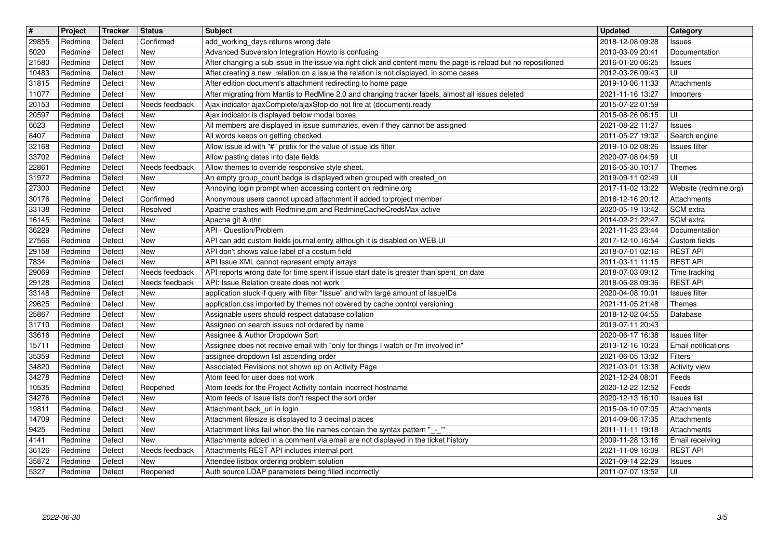| $\boxed{\texttt{#}}$ | Project            | Tracker          | <b>Status</b>         | <b>Subject</b>                                                                                                                                                    | <b>Updated</b>                                         | Category                                    |
|----------------------|--------------------|------------------|-----------------------|-------------------------------------------------------------------------------------------------------------------------------------------------------------------|--------------------------------------------------------|---------------------------------------------|
| 29855<br>5020        | Redmine<br>Redmine | Defect<br>Defect | Confirmed<br>New      | add_working_days returns wrong date<br>Advanced Subversion Integration Howto is confusing                                                                         | 2018-12-08 09:28<br>2010-03-09 20:41                   | <b>Issues</b><br>Documentation              |
| 21580                | Redmine            | Defect           | New                   | After changing a sub issue in the issue via right click and content menu the page is reload but no repositioned                                                   | 2016-01-20 06:25                                       | <b>Issues</b>                               |
| 10483                | Redmine            | Defect           | New                   | After creating a new relation on a issue the relation is not displayed, in some cases                                                                             | 2012-03-26 09:43                                       | UI                                          |
| 31815<br>11077       | Redmine<br>Redmine | Defect<br>Defect | New<br>New            | After edition document's attachment redirecting to home page<br>After migrating from Mantis to RedMine 2.0 and changing tracker labels, almost all issues deleted | 2019-10-06 11:33<br>2021-11-16 13:27                   | Attachments<br>Importers                    |
| 20153                | Redmine            | Defect           | Needs feedback        | Ajax indicator ajaxComplete/ajaxStop do not fire at (document).ready                                                                                              | 2015-07-22 01:59                                       |                                             |
| 20597<br>6023        | Redmine<br>Redmine | Defect<br>Defect | New<br>New            | Ajax indicator is displayed below modal boxes<br>All members are displayed in issue summaries, even if they cannot be assigned                                    | 2015-08-26 06:15<br>2021-08-22 11:27                   | UI<br><b>Issues</b>                         |
| 8407                 | Redmine            | Defect           | New                   | All words keeps on getting checked                                                                                                                                | 2011-05-27 19:02                                       | Search engine                               |
| 32168<br>33702       | Redmine<br>Redmine | Defect<br>Defect | New<br>New            | Allow issue id with "#" prefix for the value of issue ids filter<br>Allow pasting dates into date fields                                                          | 2019-10-02 08:26<br>2020-07-08 04:59                   | Issues filter<br>UI                         |
| 22861                | Redmine            | Defect           | Needs feedback        | Allow themes to override responsive style sheet.                                                                                                                  | 2016-05-30 10:17                                       | Themes                                      |
| 31972                | Redmine            | Defect           | New                   | An empty group_count badge is displayed when grouped with created_on                                                                                              | 2019-09-11 02:49                                       | UI                                          |
| 27300<br>30176       | Redmine<br>Redmine | Defect<br>Defect | New<br>Confirmed      | Annoying login prompt when accessing content on redmine.org<br>Anonymous users cannot upload attachment if added to project member                                | 2017-11-02 13:22<br>2018-12-16 20:12                   | Website (redmine.org)<br>Attachments        |
| 33138                | Redmine            | Defect           | Resolved              | Apache crashes with Redmine.pm and RedmineCacheCredsMax active                                                                                                    | 2020-05-19 13:42                                       | SCM extra                                   |
| 16145<br>36229       | Redmine<br>Redmine | Defect<br>Defect | New<br>New            | Apache git Authn<br>API - Question/Problem                                                                                                                        | 2014-02-21 22:47<br>2021-11-23 23:44                   | SCM extra<br>Documentation                  |
| 27566                | Redmine            | Defect           | New                   | API can add custom fields journal entry although it is disabled on WEB UI                                                                                         | 2017-12-10 16:54                                       | Custom fields                               |
| 29158                | Redmine            | Defect           | New                   | API don't shows value label of a costum field                                                                                                                     | 2018-07-01 02:16                                       | <b>REST API</b>                             |
| 7834<br>29069        | Redmine<br>Redmine | Defect<br>Defect | New<br>Needs feedback | API Issue XML cannot represent empty arrays<br>API reports wrong date for time spent if issue start date is greater than spent_on date                            | 2011-03-11 11:15<br>2018-07-03 09:12                   | <b>REST API</b><br>Time tracking            |
| 29128                | Redmine            | Defect           | Needs feedback        | API: Issue Relation create does not work                                                                                                                          | 2018-06-28 09:36                                       | <b>REST API</b>                             |
| 33148<br>29625       | Redmine<br>Redmine | Defect<br>Defect | New<br>New            | application stuck if query with filter "Issue" and with large amount of IssueIDs<br>application.css imported by themes not covered by cache control versioning    | 2020-04-08 10:01<br>2021-11-05 21:48                   | <b>Issues</b> filter<br>Themes              |
| 25867                | Redmine            | Defect           | New                   | Assignable users should respect database collation                                                                                                                | 2018-12-02 04:55                                       | Database                                    |
| 31710                | Redmine            | Defect           | New<br>New            | Assigned on search issues not ordered by name                                                                                                                     | 2019-07-11 20:43                                       |                                             |
| 33616<br>15711       | Redmine<br>Redmine | Defect<br>Defect | New                   | Assignee & Author Dropdown Sort<br>Assignee does not receive email with "only for things I watch or I'm involved in"                                              | 2020-06-17 16:38<br>2013-12-16 10:23                   | <b>Issues</b> filter<br>Email notifications |
| 35359                | Redmine            | Defect           | New                   | assignee dropdown list ascending order                                                                                                                            | 2021-06-05 13:02                                       | Filters                                     |
| 34820<br>34278       | Redmine<br>Redmine | Defect<br>Defect | New<br>New            | Associated Revisions not shown up on Activity Page<br>Atom feed for user does not work                                                                            | 2021-03-01 13:38<br>2021-12-24 08:01                   | Activity view<br>Feeds                      |
| 10535                | Redmine            | Defect           | Reopened              | Atom feeds for the Project Activity contain incorrect hostname                                                                                                    | 2020-12-22 12:52                                       | Feeds                                       |
| 34276                | Redmine            | Defect           | New                   | Atom feeds of Issue lists don't respect the sort order                                                                                                            | 2020-12-13 16:10                                       | <b>Issues list</b>                          |
| 19811<br>14709       | Redmine<br>Redmine | Defect<br>Defect | New<br>New            | Attachment back_url in login<br>Attachment filesize is displayed to 3 decimal places                                                                              | 2015-06-10 07:05<br>2014-09-06 17:35                   | Attachments<br>Attachments                  |
| 9425                 | Redmine            | Defect           | New                   | Attachment links fail when the file names contain the syntax pattern "_-_"                                                                                        | 2011-11-11 19:18                                       | Attachments                                 |
| 4141<br>36126        | Redmine<br>Redmine | Defect<br>Defect | New<br>Needs feedback | Attachments added in a comment via email are not displayed in the ticket history<br>Attachments REST API includes internal port                                   | 2009-11-28 13:16   Email receiving<br>2021-11-09 16:09 | <b>REST API</b>                             |
| 35872<br>5327        | Redmine            | Defect           | New                   | Attendee listbox ordering problem solution<br>Auth source LDAP parameters being filled incorrectly                                                                | 2021-09-14 22:29                                       | <b>Issues</b>                               |
|                      |                    |                  |                       |                                                                                                                                                                   |                                                        |                                             |
|                      |                    |                  |                       |                                                                                                                                                                   |                                                        |                                             |
|                      |                    |                  |                       |                                                                                                                                                                   |                                                        |                                             |
|                      |                    |                  |                       |                                                                                                                                                                   |                                                        |                                             |
|                      |                    |                  |                       |                                                                                                                                                                   |                                                        |                                             |
|                      |                    |                  |                       |                                                                                                                                                                   |                                                        |                                             |
|                      |                    |                  |                       |                                                                                                                                                                   |                                                        |                                             |
|                      |                    |                  |                       |                                                                                                                                                                   |                                                        |                                             |
|                      |                    |                  |                       |                                                                                                                                                                   |                                                        |                                             |
|                      |                    |                  |                       |                                                                                                                                                                   |                                                        |                                             |
|                      |                    |                  |                       |                                                                                                                                                                   |                                                        |                                             |
|                      |                    |                  |                       |                                                                                                                                                                   |                                                        |                                             |
|                      |                    |                  |                       |                                                                                                                                                                   |                                                        |                                             |
|                      |                    |                  |                       |                                                                                                                                                                   |                                                        |                                             |
|                      |                    |                  |                       |                                                                                                                                                                   |                                                        |                                             |
|                      |                    |                  |                       |                                                                                                                                                                   |                                                        |                                             |
|                      |                    |                  |                       |                                                                                                                                                                   |                                                        |                                             |
|                      |                    |                  |                       |                                                                                                                                                                   |                                                        |                                             |
|                      |                    |                  |                       |                                                                                                                                                                   |                                                        |                                             |
|                      |                    |                  |                       |                                                                                                                                                                   |                                                        |                                             |
|                      |                    |                  |                       |                                                                                                                                                                   |                                                        |                                             |
|                      |                    |                  |                       |                                                                                                                                                                   |                                                        |                                             |
|                      |                    |                  |                       |                                                                                                                                                                   |                                                        |                                             |
|                      |                    |                  |                       |                                                                                                                                                                   |                                                        |                                             |
|                      |                    |                  |                       |                                                                                                                                                                   |                                                        |                                             |
|                      |                    |                  |                       |                                                                                                                                                                   |                                                        |                                             |
|                      |                    |                  |                       |                                                                                                                                                                   |                                                        |                                             |
|                      |                    |                  |                       |                                                                                                                                                                   |                                                        |                                             |
|                      |                    |                  |                       |                                                                                                                                                                   |                                                        |                                             |
|                      |                    |                  |                       |                                                                                                                                                                   |                                                        |                                             |
|                      |                    |                  |                       |                                                                                                                                                                   |                                                        |                                             |
|                      |                    |                  |                       |                                                                                                                                                                   |                                                        |                                             |
|                      |                    |                  |                       |                                                                                                                                                                   |                                                        |                                             |
|                      |                    |                  |                       |                                                                                                                                                                   |                                                        |                                             |
|                      |                    |                  |                       |                                                                                                                                                                   |                                                        |                                             |
|                      |                    |                  |                       |                                                                                                                                                                   |                                                        |                                             |
|                      |                    |                  |                       |                                                                                                                                                                   |                                                        |                                             |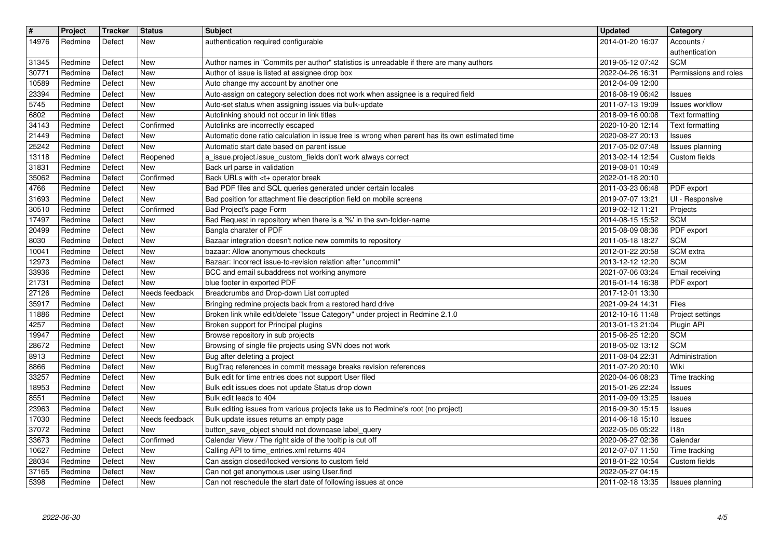| $\sqrt{t}$<br>14976 | Project<br>Redmine | <b>Tracker</b><br>Defect | <b>Status</b><br>New         | <b>Subject</b><br>authentication required configurable                                                                              | <b>Updated</b><br>2014-01-20 16:07   | Category<br>Accounts /                           |
|---------------------|--------------------|--------------------------|------------------------------|-------------------------------------------------------------------------------------------------------------------------------------|--------------------------------------|--------------------------------------------------|
| 31345               | Redmine            | Defect                   | <b>New</b>                   | Author names in "Commits per author" statistics is unreadable if there are many authors                                             | 2019-05-12 07:42                     | authentication<br><b>SCM</b>                     |
| 30771<br>10589      | Redmine<br>Redmine | Defect<br>Defect         | <b>New</b><br><b>New</b>     | Author of issue is listed at assignee drop box<br>Auto change my account by another one                                             | 2022-04-26 16:31<br>2012-04-09 12:00 | Permissions and roles                            |
| 23394               | Redmine            | Defect                   | <b>New</b>                   | Auto-assign on category selection does not work when assignee is a required field                                                   | 2016-08-19 06:42                     | <b>Issues</b>                                    |
| 5745<br>6802        | Redmine<br>Redmine | Defect<br>Defect         | New<br><b>New</b>            | Auto-set status when assigning issues via bulk-update<br>Autolinking should not occur in link titles                                | 2011-07-13 19:09<br>2018-09-16 00:08 | <b>Issues workflow</b><br><b>Text formatting</b> |
| 34143<br>21449      | Redmine<br>Redmine | Defect<br>Defect         | Confirmed<br><b>New</b>      | Autolinks are incorrectly escaped<br>Automatic done ratio calculation in issue tree is wrong when parent has its own estimated time | 2020-10-20 12:14<br>2020-08-27 20:13 | Text formatting<br><b>Issues</b>                 |
| 25242               | Redmine            | Defect                   | <b>New</b>                   | Automatic start date based on parent issue                                                                                          | 2017-05-02 07:48                     | Issues planning                                  |
| 13118<br>31831      | Redmine<br>Redmine | Defect<br>Defect         | Reopened<br><b>New</b>       | a_issue.project.issue_custom_fields don't work always correct<br>Back url parse in validation                                       | 2013-02-14 12:54<br>2019-08-01 10:49 | Custom fields                                    |
| 35062<br>4766       | Redmine<br>Redmine | Defect<br>Defect         | Confirmed<br><b>New</b>      | Back URLs with <t+ break<br="" operator="">Bad PDF files and SQL queries generated under certain locales</t+>                       | 2022-01-18 20:10<br>2011-03-23 06:48 | PDF export                                       |
| 31693               | Redmine            | Defect                   | <b>New</b>                   | Bad position for attachment file description field on mobile screens                                                                | 2019-07-07 13:21                     | UI - Responsive                                  |
| 30510<br>17497      | Redmine<br>Redmine | Defect<br>Defect         | Confirmed<br><b>New</b>      | Bad Project's page Form<br>Bad Request in repository when there is a '%' in the svn-folder-name                                     | 2019-02-12 11:21<br>2014-08-15 15:52 | Projects<br><b>SCM</b>                           |
| 20499<br>8030       | Redmine<br>Redmine | Defect<br>Defect         | <b>New</b><br><b>New</b>     | Bangla charater of PDF<br>Bazaar integration doesn't notice new commits to repository                                               | 2015-08-09 08:36<br>2011-05-18 18:27 | PDF export<br><b>SCM</b>                         |
| 10041               | Redmine            | Defect                   | New                          | bazaar: Allow anonymous checkouts                                                                                                   | 2012-01-22 20:58                     | SCM extra                                        |
| 12973<br>33936      | Redmine<br>Redmine | Defect<br>Defect         | <b>New</b><br><b>New</b>     | Bazaar: Incorrect issue-to-revision relation after "uncommit"<br>BCC and email subaddress not working anymore                       | 2013-12-12 12:20<br>2021-07-06 03:24 | <b>SCM</b><br>Email receiving                    |
| 21731<br>27126      | Redmine<br>Redmine | Defect<br>Defect         | <b>New</b><br>Needs feedback | blue footer in exported PDF<br>Breadcrumbs and Drop-down List corrupted                                                             | 2016-01-14 16:38<br>2017-12-01 13:30 | PDF export                                       |
| 35917               | Redmine            | Defect                   | <b>New</b>                   | Bringing redmine projects back from a restored hard drive                                                                           | 2021-09-24 14:31                     | Files                                            |
| 11886<br>4257       | Redmine<br>Redmine | Defect<br>Defect         | <b>New</b><br>New            | Broken link while edit/delete "Issue Category" under project in Redmine 2.1.0<br>Broken support for Principal plugins               | 2012-10-16 11:48<br>2013-01-13 21:04 | Project settings<br>Plugin API                   |
| 19947<br>28672      | Redmine<br>Redmine | Defect<br>Defect         | <b>New</b><br><b>New</b>     | Browse repository in sub projects<br>Browsing of single file projects using SVN does not work                                       | 2015-06-25 12:20<br>2018-05-02 13:12 | <b>SCM</b><br><b>SCM</b>                         |
| 8913                | Redmine            | Defect                   | <b>New</b>                   | Bug after deleting a project                                                                                                        | 2011-08-04 22:31                     | Administration                                   |
| 8866<br>33257       | Redmine<br>Redmine | Defect<br>Defect         | <b>New</b><br>New            | BugTraq references in commit message breaks revision references<br>Bulk edit for time entries does not support User filed           | 2011-07-20 20:10<br>2020-04-06 08:23 | Wiki<br>Time tracking                            |
| 18953<br>8551       | Redmine<br>Redmine | Defect<br>Defect         | <b>New</b><br><b>New</b>     | Bulk edit issues does not update Status drop down<br>Bulk edit leads to 404                                                         | 2015-01-26 22:24<br>2011-09-09 13:25 | <b>Issues</b>                                    |
| 23963               | Redmine            | Defect                   | <b>New</b>                   | Bulk editing issues from various projects take us to Redmine's root (no project)                                                    | 2016-09-30 15:15                     | <b>Issues</b><br><b>Issues</b>                   |
| 17030<br>37072      | Redmine<br>Redmine | Defect<br>Defect         | Needs feedback<br>New        | Bulk update issues returns an empty page<br>button_save_object should not downcase label_query                                      | 2014-06-18 15:10<br>2022-05-05 05:22 | <b>Issues</b><br>118n                            |
| 33673<br>10627      | Redmine<br>Redmine | Defect<br>Defect         | Confirmed<br><b>New</b>      | Calendar View / The right side of the tooltip is cut off<br>Calling API to time_entries.xml returns 404                             | 2020-06-27 02:36<br>2012-07-07 11:50 | Calendar<br>Time tracking                        |
| 28034               | Redmine            | Defect                   | New                          | Can assign closed/locked versions to custom field                                                                                   | 2018-01-22 10:54                     | Custom fields                                    |
| 37165<br>5398       | Redmine<br>Redmine | Defect<br>Defect         | <b>New</b><br>New            | Can not get anonymous user using User.find<br>Can not reschedule the start date of following issues at once                         | 2022-05-27 04:15<br>2011-02-18 13:35 | Issues planning                                  |
|                     |                    |                          |                              |                                                                                                                                     |                                      |                                                  |
|                     |                    |                          |                              |                                                                                                                                     |                                      |                                                  |
|                     |                    |                          |                              |                                                                                                                                     |                                      |                                                  |
|                     |                    |                          |                              |                                                                                                                                     |                                      |                                                  |
|                     |                    |                          |                              |                                                                                                                                     |                                      |                                                  |
|                     |                    |                          |                              |                                                                                                                                     |                                      |                                                  |
|                     |                    |                          |                              |                                                                                                                                     |                                      |                                                  |
|                     |                    |                          |                              |                                                                                                                                     |                                      |                                                  |
|                     |                    |                          |                              |                                                                                                                                     |                                      |                                                  |
|                     |                    |                          |                              |                                                                                                                                     |                                      |                                                  |